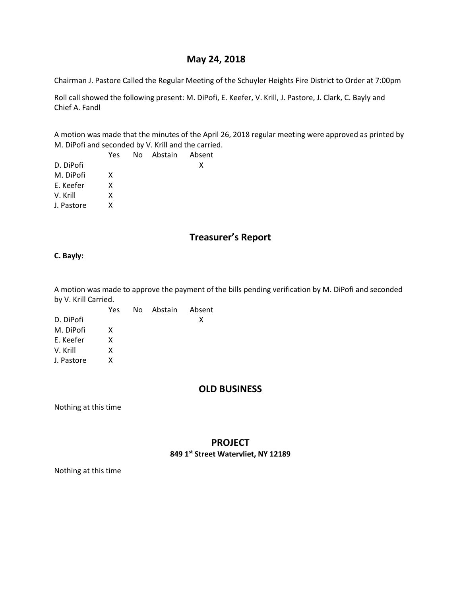# **May 24, 2018**

Chairman J. Pastore Called the Regular Meeting of the Schuyler Heights Fire District to Order at 7:00pm

Roll call showed the following present: M. DiPofi, E. Keefer, V. Krill, J. Pastore, J. Clark, C. Bayly and Chief A. Fandl

A motion was made that the minutes of the April 26, 2018 regular meeting were approved as printed by M. DiPofi and seconded by V. Krill and the carried.

|            | Yes | No Abstain Absent |   |
|------------|-----|-------------------|---|
| D. DiPofi  |     |                   | x |
| M. DiPofi  | x   |                   |   |
| E. Keefer  | x   |                   |   |
| V. Krill   | x   |                   |   |
| J. Pastore | x   |                   |   |
|            |     |                   |   |

# **Treasurer's Report**

**C. Bayly:**

A motion was made to approve the payment of the bills pending verification by M. DiPofi and seconded by V. Krill Carried.

|            | Yes | No Abstain Absent |   |
|------------|-----|-------------------|---|
| D. DiPofi  |     |                   | x |
| M. DiPofi  | X   |                   |   |
| E. Keefer  | x   |                   |   |
| V. Krill   | x   |                   |   |
| J. Pastore | x   |                   |   |

# **OLD BUSINESS**

Nothing at this time

# **PROJECT 849 1st Street Watervliet, NY 12189**

Nothing at this time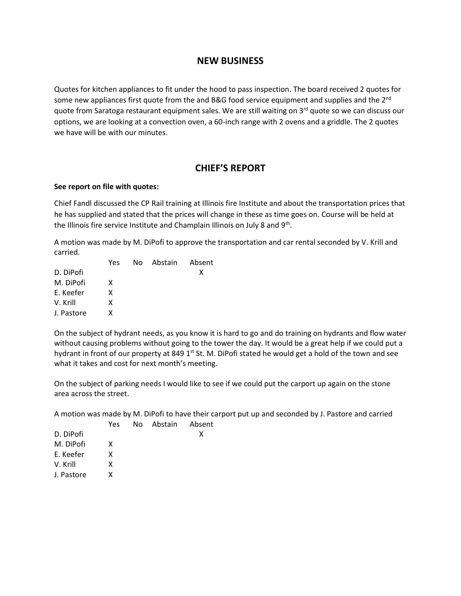# **NEW BUSINESS**

Quotes for kitchen appliances to fit under the hood to pass inspection. The board received 2 quotes for some new appliances first quote from the and B&G food service equipment and supplies and the  $2^{nd}$ quote from Saratoga restaurant equipment sales. We are still waiting on  $3<sup>rd</sup>$  quote so we can discuss our options, we are looking at a convection oven, a 60-inch range with 2 ovens and a griddle. The 2 quotes we have will be with our minutes.

# **CHIEF'S REPORT**

#### **See report on file with quotes:**

Chief Fandl discussed the CP Rail training at Illinois fire Institute and about the transportation prices that he has supplied and stated that the prices will change in these as time goes on. Course will be held at the Illinois fire service Institute and Champlain Illinois on July 8 and 9<sup>th</sup>.

A motion was made by M. DiPofi to approve the transportation and car rental seconded by V. Krill and carried.

| Yes |  |                   |
|-----|--|-------------------|
|     |  | x                 |
| x   |  |                   |
| x   |  |                   |
| x   |  |                   |
| x   |  |                   |
|     |  | No Abstain Absent |

On the subject of hydrant needs, as you know it is hard to go and do training on hydrants and flow water without causing problems without going to the tower the day. It would be a great help if we could put a hydrant in front of our property at 849  $1<sup>st</sup>$  St. M. DiPofi stated he would get a hold of the town and see what it takes and cost for next month's meeting.

On the subject of parking needs I would like to see if we could put the carport up again on the stone area across the street.

A motion was made by M. DiPofi to have their carport put up and seconded by J. Pastore and carried

Absent

|            | Yes | No Abstain | Abs |
|------------|-----|------------|-----|
| D. DiPofi  |     |            | χ   |
| M. DiPofi  | x   |            |     |
| E. Keefer  | x   |            |     |
| V. Krill   | x   |            |     |
| J. Pastore | x   |            |     |
|            |     |            |     |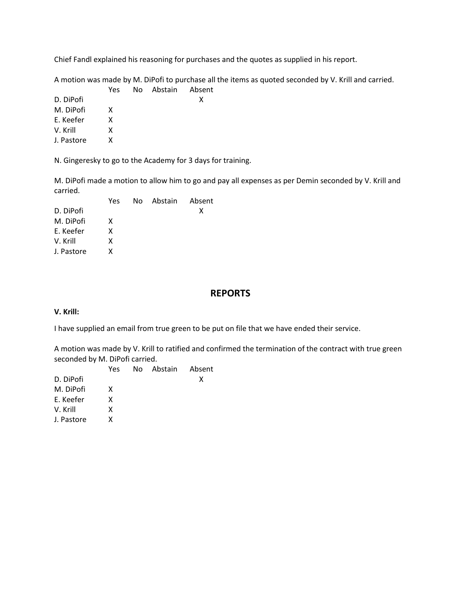Chief Fandl explained his reasoning for purchases and the quotes as supplied in his report.

A motion was made by M. DiPofi to purchase all the items as quoted seconded by V. Krill and carried.

|            | Yes | No Abstain Absent |   |
|------------|-----|-------------------|---|
| D. DiPofi  |     |                   | x |
| M. DiPofi  | x   |                   |   |
| E. Keefer  | x   |                   |   |
| V. Krill   | x   |                   |   |
| J. Pastore | x   |                   |   |
|            |     |                   |   |

N. Gingeresky to go to the Academy for 3 days for training.

M. DiPofi made a motion to allow him to go and pay all expenses as per Demin seconded by V. Krill and carried.

| Yes |  |                   |
|-----|--|-------------------|
|     |  | x                 |
| X   |  |                   |
| x   |  |                   |
| x   |  |                   |
| x   |  |                   |
|     |  | No Abstain Absent |

### **REPORTS**

#### **V. Krill:**

I have supplied an email from true green to be put on file that we have ended their service.

A motion was made by V. Krill to ratified and confirmed the termination of the contract with true green seconded by M. DiPofi carried.

|            | Yes | No Abstain Absent |   |
|------------|-----|-------------------|---|
| D. DiPofi  |     |                   | x |
| M. DiPofi  | x   |                   |   |
| E. Keefer  | x   |                   |   |
| V. Krill   | x   |                   |   |
| J. Pastore | x   |                   |   |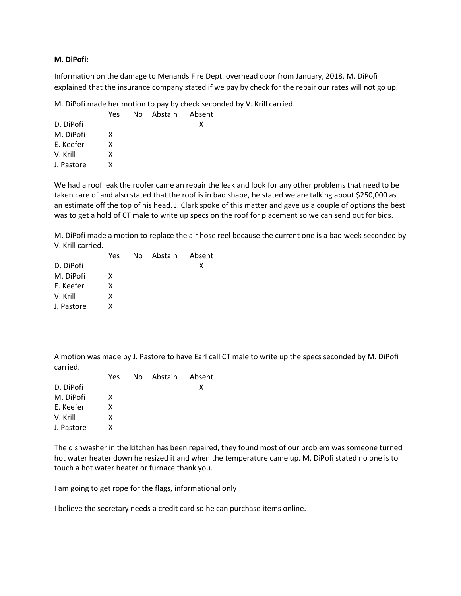#### **M. DiPofi:**

Information on the damage to Menands Fire Dept. overhead door from January, 2018. M. DiPofi explained that the insurance company stated if we pay by check for the repair our rates will not go up.

M. DiPofi made her motion to pay by check seconded by V. Krill carried.

|            | Yes | No Abstain Absent |   |
|------------|-----|-------------------|---|
| D. DiPofi  |     |                   | x |
| M. DiPofi  | X   |                   |   |
| E. Keefer  | x   |                   |   |
| V. Krill   | x   |                   |   |
| J. Pastore | x   |                   |   |
|            |     |                   |   |

We had a roof leak the roofer came an repair the leak and look for any other problems that need to be taken care of and also stated that the roof is in bad shape, he stated we are talking about \$250,000 as an estimate off the top of his head. J. Clark spoke of this matter and gave us a couple of options the best was to get a hold of CT male to write up specs on the roof for placement so we can send out for bids.

M. DiPofi made a motion to replace the air hose reel because the current one is a bad week seconded by V. Krill carried.

|            | Yes | No Abstain Absent |   |
|------------|-----|-------------------|---|
| D. DiPofi  |     |                   | х |
| M. DiPofi  | x   |                   |   |
| E. Keefer  | x   |                   |   |
| V. Krill   | x   |                   |   |
| J. Pastore | x   |                   |   |
|            |     |                   |   |

A motion was made by J. Pastore to have Earl call CT male to write up the specs seconded by M. DiPofi carried.

|            | Yes | No Abstain Absent |   |
|------------|-----|-------------------|---|
| D. DiPofi  |     |                   | x |
| M. DiPofi  | x   |                   |   |
| E. Keefer  | x   |                   |   |
| V. Krill   | X   |                   |   |
| J. Pastore | x   |                   |   |
|            |     |                   |   |

The dishwasher in the kitchen has been repaired, they found most of our problem was someone turned hot water heater down he resized it and when the temperature came up. M. DiPofi stated no one is to touch a hot water heater or furnace thank you.

I am going to get rope for the flags, informational only

I believe the secretary needs a credit card so he can purchase items online.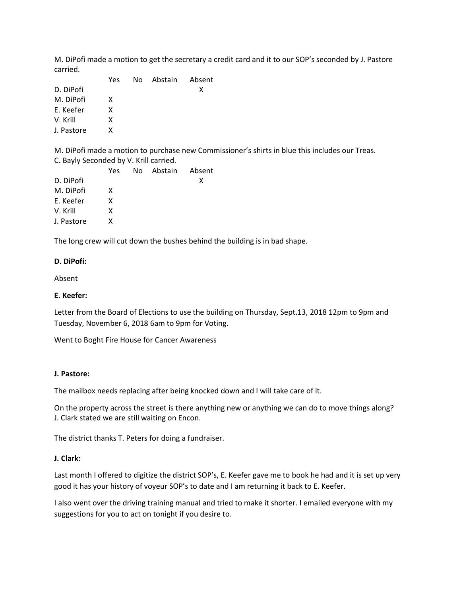M. DiPofi made a motion to get the secretary a credit card and it to our SOP's seconded by J. Pastore carried.

|            | Yes | No Abstain Absent |   |
|------------|-----|-------------------|---|
| D. DiPofi  |     |                   | х |
| M. DiPofi  | x   |                   |   |
| E. Keefer  | x   |                   |   |
| V. Krill   | x   |                   |   |
| J. Pastore | x   |                   |   |
|            |     |                   |   |

M. DiPofi made a motion to purchase new Commissioner's shirts in blue this includes our Treas. C. Bayly Seconded by V. Krill carried.

|            | Yes | No Abstain Absent |   |
|------------|-----|-------------------|---|
| D. DiPofi  |     |                   | x |
| M. DiPofi  | x   |                   |   |
| E. Keefer  | x   |                   |   |
| V. Krill   | x   |                   |   |
| J. Pastore | x   |                   |   |
|            |     |                   |   |

The long crew will cut down the bushes behind the building is in bad shape.

#### **D. DiPofi:**

Absent

#### **E. Keefer:**

Letter from the Board of Elections to use the building on Thursday, Sept.13, 2018 12pm to 9pm and Tuesday, November 6, 2018 6am to 9pm for Voting.

Went to Boght Fire House for Cancer Awareness

#### **J. Pastore:**

The mailbox needs replacing after being knocked down and I will take care of it.

On the property across the street is there anything new or anything we can do to move things along? J. Clark stated we are still waiting on Encon.

The district thanks T. Peters for doing a fundraiser.

#### **J. Clark:**

Last month I offered to digitize the district SOP's, E. Keefer gave me to book he had and it is set up very good it has your history of voyeur SOP's to date and I am returning it back to E. Keefer.

I also went over the driving training manual and tried to make it shorter. I emailed everyone with my suggestions for you to act on tonight if you desire to.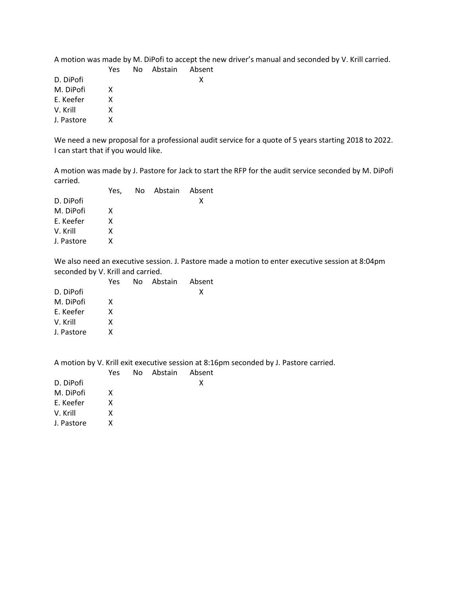| A motion was made by M. DiPofi to accept the new driver's manual and seconded by V. Krill carried. |  |
|----------------------------------------------------------------------------------------------------|--|
|----------------------------------------------------------------------------------------------------|--|

|            | Yes | No Abstain Absent |   |
|------------|-----|-------------------|---|
| D. DiPofi  |     |                   | X |
| M. DiPofi  | x   |                   |   |
| E. Keefer  | x   |                   |   |
| V. Krill   | x   |                   |   |
| J. Pastore | x   |                   |   |
|            |     |                   |   |

We need a new proposal for a professional audit service for a quote of 5 years starting 2018 to 2022. I can start that if you would like.

A motion was made by J. Pastore for Jack to start the RFP for the audit service seconded by M. DiPofi carried.

|            | Yes. | No Abstain Absent |   |
|------------|------|-------------------|---|
| D. DiPofi  |      |                   | x |
| M. DiPofi  | X    |                   |   |
| E. Keefer  | x    |                   |   |
| V. Krill   | x    |                   |   |
| J. Pastore | x    |                   |   |
|            |      |                   |   |

We also need an executive session. J. Pastore made a motion to enter executive session at 8:04pm seconded by V. Krill and carried.

|            | Yes | No Abstain Absent |   |
|------------|-----|-------------------|---|
| D. DiPofi  |     |                   | x |
| M. DiPofi  | x   |                   |   |
| E. Keefer  | x   |                   |   |
| V. Krill   | x   |                   |   |
| J. Pastore | x   |                   |   |

A motion by V. Krill exit executive session at 8:16pm seconded by J. Pastore carried.

|            | Yes | No Abstain Absent |   |
|------------|-----|-------------------|---|
| D. DiPofi  |     |                   | x |
| M. DiPofi  | x   |                   |   |
| E. Keefer  | x   |                   |   |
| V. Krill   | x   |                   |   |
| J. Pastore | x   |                   |   |